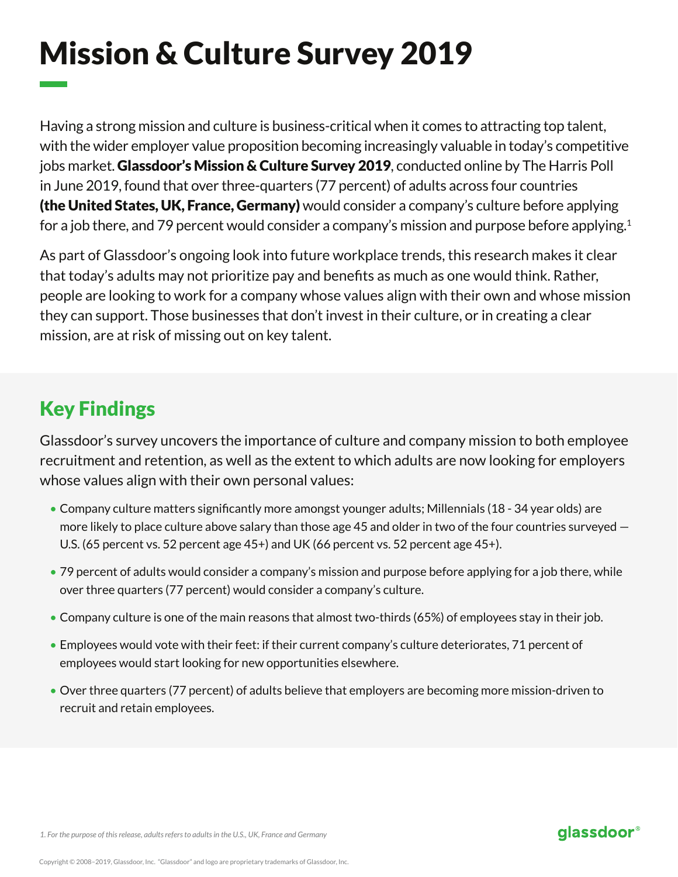# Mission & Culture Survey 2019

Having a strong mission and culture is business-critical when it comes to attracting top talent, with the wider employer value proposition becoming increasingly valuable in today's competitive jobs market. Glassdoor's Mission & Culture Survey 2019, conducted online by The Harris Poll in June 2019, found that over three-quarters (77 percent) of adults across four countries (the United States, UK, France, Germany) would consider a company's culture before applying for a job there, and 79 percent would consider a company's mission and purpose before applying.<sup>1</sup>

As part of Glassdoor's ongoing look into future workplace trends, this research makes it clear that today's adults may not prioritize pay and benefits as much as one would think. Rather, people are looking to work for a company whose values align with their own and whose mission they can support. Those businesses that don't invest in their culture, or in creating a clear mission, are at risk of missing out on key talent.

## Key Findings

Glassdoor's survey uncovers the importance of culture and company mission to both employee recruitment and retention, as well as the extent to which adults are now looking for employers whose values align with their own personal values:

- Company culture matters significantly more amongst younger adults; Millennials (18 34 year olds) are more likely to place culture above salary than those age 45 and older in two of the four countries surveyed — U.S. (65 percent vs. 52 percent age 45+) and UK (66 percent vs. 52 percent age 45+).
- 79 percent of adults would consider a company's mission and purpose before applying for a job there, while over three quarters (77 percent) would consider a company's culture.
- Company culture is one of the main reasons that almost two-thirds (65%) of employees stay in their job.
- Employees would vote with their feet: if their current company's culture deteriorates, 71 percent of employees would start looking for new opportunities elsewhere.
- Over three quarters (77 percent) of adults believe that employers are becoming more mission-driven to recruit and retain employees.

#### qlassdoor®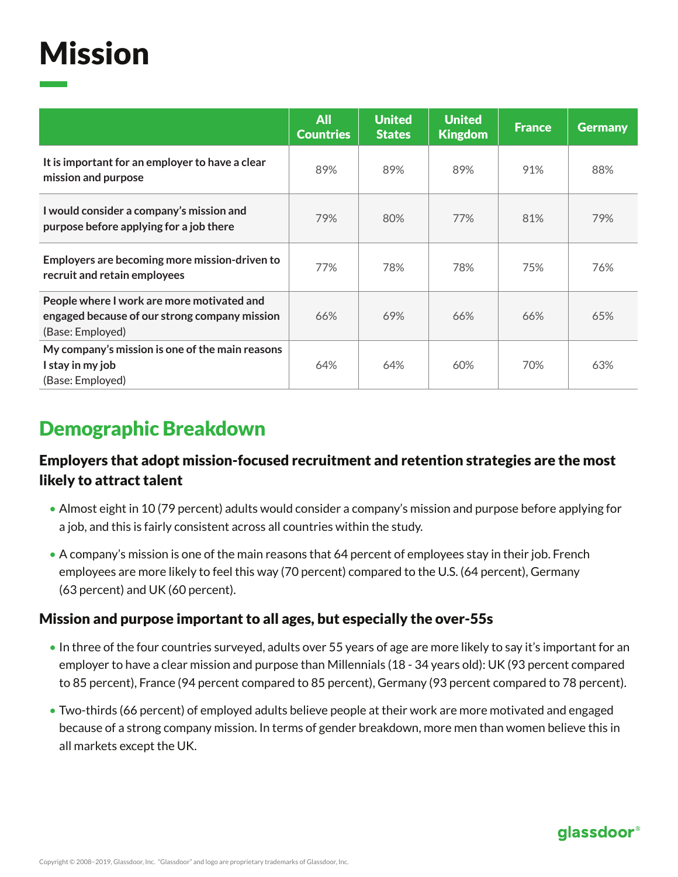## Mission

|                                                                                                                 | <b>All</b><br><b>Countries</b> | <b>United</b><br><b>States</b> | <b>United</b><br><b>Kingdom</b> | <b>France</b> | <b>Germany</b> |
|-----------------------------------------------------------------------------------------------------------------|--------------------------------|--------------------------------|---------------------------------|---------------|----------------|
| It is important for an employer to have a clear<br>mission and purpose                                          | 89%                            | 89%                            | 89%                             | 91%           | 88%            |
| I would consider a company's mission and<br>purpose before applying for a job there                             | 79%                            | 80%                            | 77%                             | 81%           | 79%            |
| Employers are becoming more mission-driven to<br>recruit and retain employees                                   | 77%                            | 78%                            | 78%                             | 75%           | 76%            |
| People where I work are more motivated and<br>engaged because of our strong company mission<br>(Base: Employed) | 66%                            | 69%                            | 66%                             | 66%           | 65%            |
| My company's mission is one of the main reasons<br>I stay in my job<br>(Base: Employed)                         | 64%                            | 64%                            | 60%                             | 70%           | 63%            |

## Demographic Breakdown

### Employers that adopt mission-focused recruitment and retention strategies are the most likely to attract talent

- Almost eight in 10 (79 percent) adults would consider a company's mission and purpose before applying for a job, and this is fairly consistent across all countries within the study.
- A company's mission is one of the main reasons that 64 percent of employees stay in their job. French employees are more likely to feel this way (70 percent) compared to the U.S. (64 percent), Germany (63 percent) and UK (60 percent).

#### Mission and purpose important to all ages, but especially the over-55s

- In three of the four countries surveyed, adults over 55 years of age are more likely to say it's important for an employer to have a clear mission and purpose than Millennials (18 - 34 years old): UK (93 percent compared to 85 percent), France (94 percent compared to 85 percent), Germany (93 percent compared to 78 percent).
- Two-thirds (66 percent) of employed adults believe people at their work are more motivated and engaged because of a strong company mission. In terms of gender breakdown, more men than women believe this in all markets except the UK.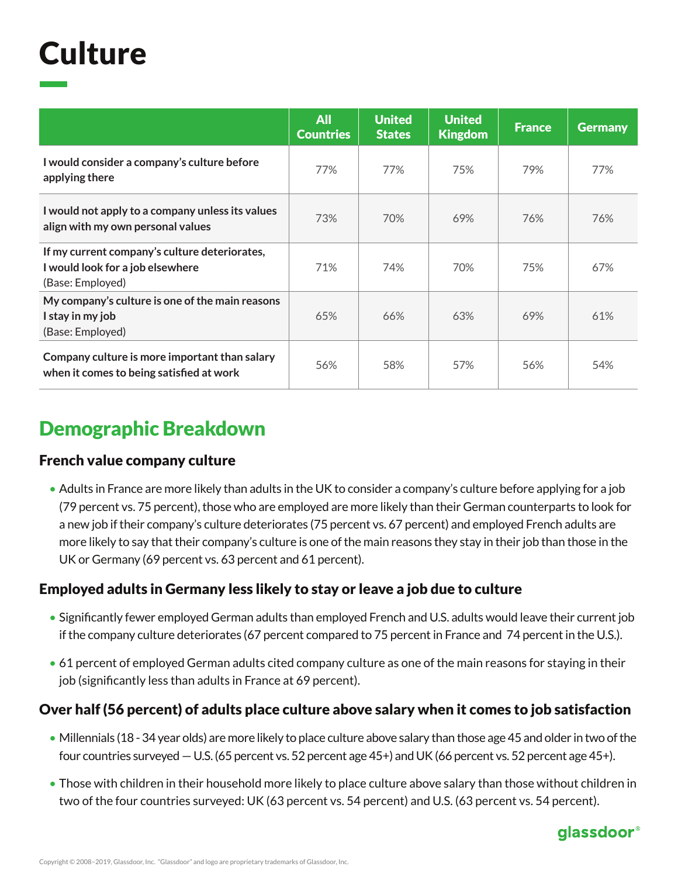## **Culture**

|                                                                                                       | <b>All</b><br><b>Countries</b> | <b>United</b><br><b>States</b> | <b>United</b><br><b>Kingdom</b> | <b>France</b> | <b>Germany</b> |
|-------------------------------------------------------------------------------------------------------|--------------------------------|--------------------------------|---------------------------------|---------------|----------------|
| I would consider a company's culture before<br>applying there                                         | 77%                            | 77%                            | 75%                             | 79%           | 77%            |
| I would not apply to a company unless its values<br>align with my own personal values                 | 73%                            | 70%                            | 69%                             | 76%           | 76%            |
| If my current company's culture deteriorates,<br>I would look for a job elsewhere<br>(Base: Employed) | 71%                            | 74%                            | 70%                             | 75%           | 67%            |
| My company's culture is one of the main reasons<br>I stay in my job<br>(Base: Employed)               | 65%                            | 66%                            | 63%                             | 69%           | 61%            |
| Company culture is more important than salary<br>when it comes to being satisfied at work             | 56%                            | 58%                            | 57%                             | 56%           | 54%            |

## Demographic Breakdown

#### French value company culture

• Adults in France are more likely than adults in the UK to consider a company's culture before applying for a job (79 percent vs. 75 percent), those who are employed are more likely than their German counterparts to look for a new job if their company's culture deteriorates (75 percent vs. 67 percent) and employed French adults are more likely to say that their company's culture is one of the main reasons they stay in their job than those in the UK or Germany (69 percent vs. 63 percent and 61 percent).

### Employed adults in Germany less likely to stay or leave a job due to culture

- Significantly fewer employed German adults than employed French and U.S. adults would leave their current job if the company culture deteriorates (67 percent compared to 75 percent in France and 74 percent in the U.S.).
- 61 percent of employed German adults cited company culture as one of the main reasons for staying in their job (significantly less than adults in France at 69 percent).

### Over half (56 percent) of adults place culture above salary when it comes to job satisfaction

- Millennials (18 34 year olds) are more likely to place culture above salary than those age 45 and older in two of the four countries surveyed — U.S. (65 percent vs. 52 percent age 45+) and UK (66 percent vs. 52 percent age 45+).
- Those with children in their household more likely to place culture above salary than those without children in two of the four countries surveyed: UK (63 percent vs. 54 percent) and U.S. (63 percent vs. 54 percent).